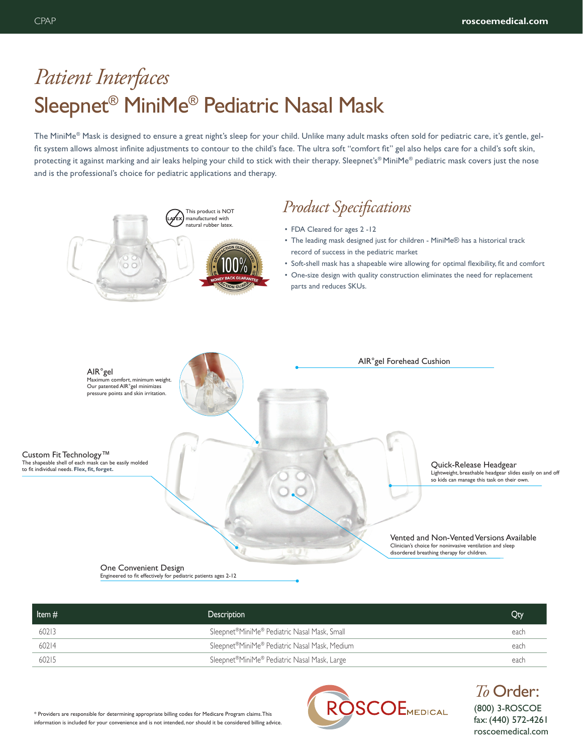## *Patient Interfaces* Sleepnet® MiniMe® Pediatric Nasal Mask

The MiniMe® Mask is designed to ensure a great night's sleep for your child. Unlike many adult masks often sold for pediatric care, it's gentle, gelfit system allows almost infinite adjustments to contour to the child's face. The ultra soft "comfort fit" gel also helps care for a child's soft skin, protecting it against marking and air leaks helping your child to stick with their therapy. Sleepnet's® MiniMe® pediatric mask covers just the nose and is the professional's choice for pediatric applications and therapy.



| Item $#$ | Description                                                | Qty  |
|----------|------------------------------------------------------------|------|
| 60213    | Sleepnet <sup>®</sup> MiniMe® Pediatric Nasal Mask, Small  | each |
| 60214    | Sleepnet <sup>®</sup> MiniMe® Pediatric Nasal Mask, Medium | each |
| 60215    | Sleepnet <sup>®</sup> MiniMe® Pediatric Nasal Mask, Large  | each |

\* Providers are responsible for determining appropriate billing codes for Medicare Program claims. This information is included for your convenience and is not intended, nor should it be considered billing advice.



(800) 3-ROSCOE fax: (440) 572-4261 roscoemedical.com *To* Order: